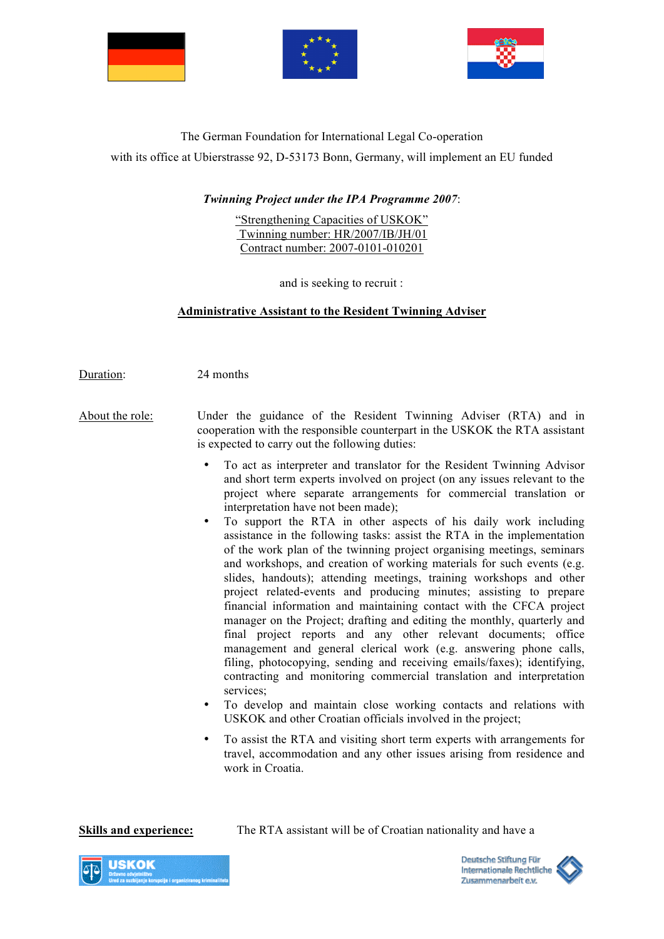





## The German Foundation for International Legal Co-operation

with its office at Ubierstrasse 92, D-53173 Bonn, Germany, will implement an EU funded

## *Twinning Project under the IPA Programme 2007*:

"Strengthening Capacities of USKOK" Twinning number: HR/2007/IB/JH/01 Contract number: 2007-0101-010201

and is seeking to recruit :

## **Administrative Assistant to the Resident Twinning Adviser**

Duration: 24 months

- About the role: Under the guidance of the Resident Twinning Adviser (RTA) and in cooperation with the responsible counterpart in the USKOK the RTA assistant is expected to carry out the following duties:
	- To act as interpreter and translator for the Resident Twinning Advisor and short term experts involved on project (on any issues relevant to the project where separate arrangements for commercial translation or interpretation have not been made);
	- To support the RTA in other aspects of his daily work including assistance in the following tasks: assist the RTA in the implementation of the work plan of the twinning project organising meetings, seminars and workshops, and creation of working materials for such events (e.g. slides, handouts); attending meetings, training workshops and other project related-events and producing minutes; assisting to prepare financial information and maintaining contact with the CFCA project manager on the Project; drafting and editing the monthly, quarterly and final project reports and any other relevant documents; office management and general clerical work (e.g. answering phone calls, filing, photocopying, sending and receiving emails/faxes); identifying, contracting and monitoring commercial translation and interpretation services:
	- To develop and maintain close working contacts and relations with USKOK and other Croatian officials involved in the project;
	- To assist the RTA and visiting short term experts with arrangements for travel, accommodation and any other issues arising from residence and work in Croatia.

**Skills and experience:** The RTA assistant will be of Croatian nationality and have a